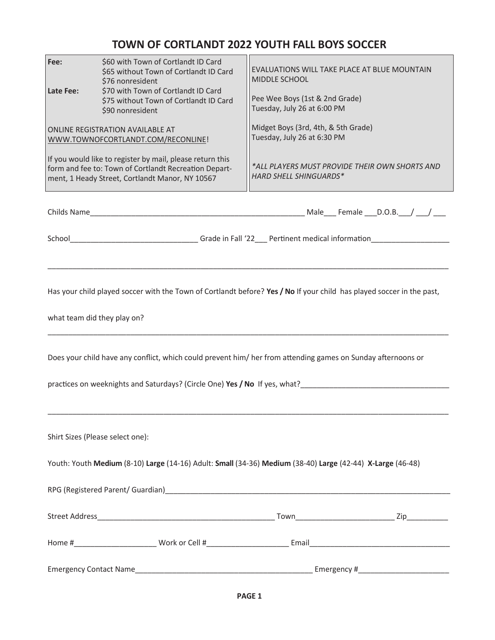## **TOWN OF CORTLANDT 2022 YOUTH FALL BOYS SOCCER**

| Fee:<br>Late Fee:                                                                                                                                                                          | \$60 with Town of Cortlandt ID Card<br>\$65 without Town of Cortlandt ID Card<br>\$76 nonresident<br>\$70 with Town of Cortlandt ID Card<br>\$75 without Town of Cortlandt ID Card<br>\$90 nonresident<br>ONLINE REGISTRATION AVAILABLE AT<br>WWW.TOWNOFCORTLANDT.COM/RECONLINE!<br>If you would like to register by mail, please return this<br>form and fee to: Town of Cortlandt Recreation Depart-<br>ment, 1 Heady Street, Cortlandt Manor, NY 10567 | EVALUATIONS WILL TAKE PLACE AT BLUE MOUNTAIN<br>MIDDLE SCHOOL<br>Pee Wee Boys (1st & 2nd Grade)<br>Tuesday, July 26 at 6:00 PM<br>Midget Boys (3rd, 4th, & 5th Grade)<br>Tuesday, July 26 at 6:30 PM<br>*ALL PLAYERS MUST PROVIDE THEIR OWN SHORTS AND<br><b>HARD SHELL SHINGUARDS*</b> |  |  |  |
|--------------------------------------------------------------------------------------------------------------------------------------------------------------------------------------------|-----------------------------------------------------------------------------------------------------------------------------------------------------------------------------------------------------------------------------------------------------------------------------------------------------------------------------------------------------------------------------------------------------------------------------------------------------------|-----------------------------------------------------------------------------------------------------------------------------------------------------------------------------------------------------------------------------------------------------------------------------------------|--|--|--|
|                                                                                                                                                                                            |                                                                                                                                                                                                                                                                                                                                                                                                                                                           |                                                                                                                                                                                                                                                                                         |  |  |  |
| School_________________________________Grade in Fall '22____ Pertinent medical information____________________                                                                             |                                                                                                                                                                                                                                                                                                                                                                                                                                                           |                                                                                                                                                                                                                                                                                         |  |  |  |
| Has your child played soccer with the Town of Cortlandt before? Yes / No If your child has played soccer in the past,<br>what team did they play on?                                       |                                                                                                                                                                                                                                                                                                                                                                                                                                                           |                                                                                                                                                                                                                                                                                         |  |  |  |
| Does your child have any conflict, which could prevent him/ her from attending games on Sunday afternoons or<br>practices on weeknights and Saturdays? (Circle One) Yes / No If yes, what? |                                                                                                                                                                                                                                                                                                                                                                                                                                                           |                                                                                                                                                                                                                                                                                         |  |  |  |
| Shirt Sizes (Please select one):<br>Youth: Youth Medium (8-10) Large (14-16) Adult: Small (34-36) Medium (38-40) Large (42-44) X-Large (46-48)                                             |                                                                                                                                                                                                                                                                                                                                                                                                                                                           |                                                                                                                                                                                                                                                                                         |  |  |  |
|                                                                                                                                                                                            |                                                                                                                                                                                                                                                                                                                                                                                                                                                           |                                                                                                                                                                                                                                                                                         |  |  |  |
|                                                                                                                                                                                            |                                                                                                                                                                                                                                                                                                                                                                                                                                                           |                                                                                                                                                                                                                                                                                         |  |  |  |
|                                                                                                                                                                                            |                                                                                                                                                                                                                                                                                                                                                                                                                                                           |                                                                                                                                                                                                                                                                                         |  |  |  |